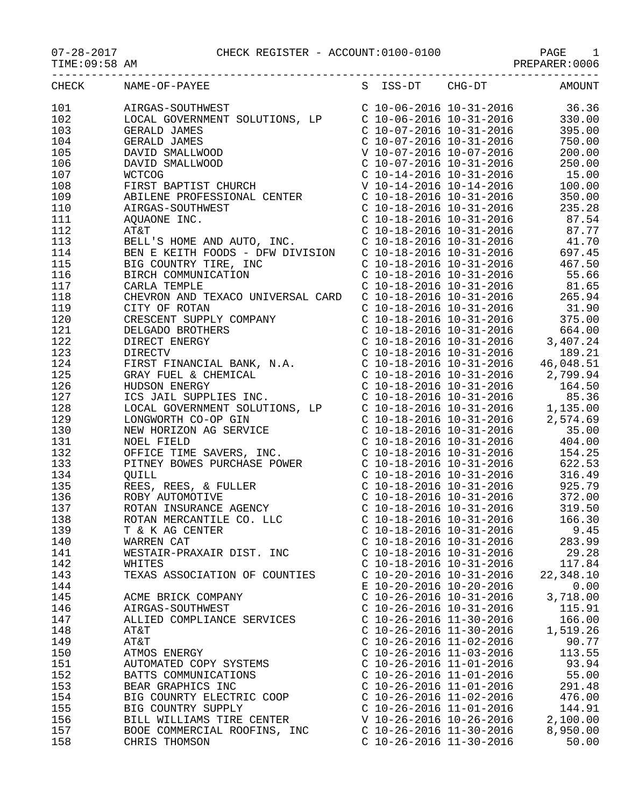## 07-28-2017 CHECK REGISTER - ACCOUNT:0100-0100 PAGE 1

TIME:09:58 AM PREPARER:0006

|     | TIME • AD • OO PIM |                                                                                                                                                                                                                                                                                                                                        |                           |                                                                  |
|-----|--------------------|----------------------------------------------------------------------------------------------------------------------------------------------------------------------------------------------------------------------------------------------------------------------------------------------------------------------------------------|---------------------------|------------------------------------------------------------------|
|     |                    | CHECK NAME-OF-PAYEE<br>CHECK NAME-OF-PAYEE<br>101 AIRGAS-SOUTHWEST<br>102 LOCAL GOVERNMENT SOLUTIONS, LP<br>C 10-06-2016 10-31-2016 330.00<br>C 10-06-2016 10-31-2016 330.00<br>C 10-07-2016 10-31-2016 395.00<br>C 10-07-2016 10-31-2016 75                                                                                           |                           |                                                                  |
|     |                    |                                                                                                                                                                                                                                                                                                                                        |                           |                                                                  |
|     |                    |                                                                                                                                                                                                                                                                                                                                        |                           |                                                                  |
|     |                    |                                                                                                                                                                                                                                                                                                                                        |                           |                                                                  |
|     |                    |                                                                                                                                                                                                                                                                                                                                        |                           |                                                                  |
|     |                    |                                                                                                                                                                                                                                                                                                                                        |                           |                                                                  |
|     |                    |                                                                                                                                                                                                                                                                                                                                        |                           |                                                                  |
|     |                    |                                                                                                                                                                                                                                                                                                                                        |                           |                                                                  |
|     |                    |                                                                                                                                                                                                                                                                                                                                        |                           |                                                                  |
|     |                    |                                                                                                                                                                                                                                                                                                                                        |                           |                                                                  |
|     |                    |                                                                                                                                                                                                                                                                                                                                        |                           |                                                                  |
|     |                    |                                                                                                                                                                                                                                                                                                                                        |                           |                                                                  |
|     |                    |                                                                                                                                                                                                                                                                                                                                        |                           |                                                                  |
|     |                    |                                                                                                                                                                                                                                                                                                                                        |                           |                                                                  |
|     |                    |                                                                                                                                                                                                                                                                                                                                        |                           |                                                                  |
|     |                    |                                                                                                                                                                                                                                                                                                                                        |                           |                                                                  |
|     |                    |                                                                                                                                                                                                                                                                                                                                        |                           |                                                                  |
|     |                    |                                                                                                                                                                                                                                                                                                                                        |                           |                                                                  |
|     |                    |                                                                                                                                                                                                                                                                                                                                        |                           |                                                                  |
|     | 118                |                                                                                                                                                                                                                                                                                                                                        |                           |                                                                  |
|     | 119                |                                                                                                                                                                                                                                                                                                                                        |                           |                                                                  |
|     | 120                |                                                                                                                                                                                                                                                                                                                                        |                           |                                                                  |
|     | 121                |                                                                                                                                                                                                                                                                                                                                        |                           |                                                                  |
|     | 122                |                                                                                                                                                                                                                                                                                                                                        |                           |                                                                  |
|     | 123                |                                                                                                                                                                                                                                                                                                                                        |                           |                                                                  |
|     | 124                |                                                                                                                                                                                                                                                                                                                                        |                           |                                                                  |
|     | 125                |                                                                                                                                                                                                                                                                                                                                        |                           |                                                                  |
|     | 126                |                                                                                                                                                                                                                                                                                                                                        |                           |                                                                  |
|     | 127                |                                                                                                                                                                                                                                                                                                                                        |                           |                                                                  |
|     | 128                | $\begin{tabular}{l c c c c c} BIRCH COMMUNICATION & C10-18-2016 & 10-31-2016 & 55.66 \\ \hline CARKL TENDPLE & C10-18-2016 & 10-31-2016 & 81.65 \\ \hline CHEJWRON AND TEXACO UNIVERSAL CARD & C10-18-2016 & 10-31-2016 & 31.90 \\ \hline CHEJCHC ENERTS & C10-18-2016 & 10-31-2016 & 375.00 \\ \hline DELGADD RRCITHERS & C10-18-201$ |                           |                                                                  |
|     | 129                |                                                                                                                                                                                                                                                                                                                                        |                           |                                                                  |
|     | 130                |                                                                                                                                                                                                                                                                                                                                        |                           |                                                                  |
|     | 131                |                                                                                                                                                                                                                                                                                                                                        |                           |                                                                  |
|     | 132                |                                                                                                                                                                                                                                                                                                                                        |                           |                                                                  |
|     | 133                |                                                                                                                                                                                                                                                                                                                                        |                           |                                                                  |
|     |                    |                                                                                                                                                                                                                                                                                                                                        |                           |                                                                  |
|     |                    | 134 QUILL BOMB FORCHIND FOMER<br>134 QUILL C 10-18-2016 10-31-2016<br>REES, REES, & FULLER<br>135 REES, REES, & FULLER<br>136 ROBY AUTOMOTIVE<br>137 ROTAN INSURANCE AGENCY<br>137 ROTAN INSURANCE AGENCY<br>138 ROTAN MERCANTILE CO. LLC C                                                                                            |                           |                                                                  |
|     |                    |                                                                                                                                                                                                                                                                                                                                        |                           |                                                                  |
|     |                    |                                                                                                                                                                                                                                                                                                                                        |                           |                                                                  |
|     |                    |                                                                                                                                                                                                                                                                                                                                        |                           |                                                                  |
|     |                    |                                                                                                                                                                                                                                                                                                                                        |                           |                                                                  |
|     | 139                | T & K AG CENTER<br>WARREN CAT C 10-18-2016 10-31-2016 9.45<br>WESTAIR-PRAXAIR DIST. INC C 10-18-2016 10-31-2016 283.99<br>C 10-18-2016 10-31-2016 29.28                                                                                                                                                                                |                           |                                                                  |
|     | 140                | WARREN CAT                                                                                                                                                                                                                                                                                                                             |                           |                                                                  |
|     | 141                |                                                                                                                                                                                                                                                                                                                                        | $C$ 10-18-2016 10-31-2016 |                                                                  |
| 142 |                    | WHITES                                                                                                                                                                                                                                                                                                                                 |                           | 117.84                                                           |
|     | 143                | TEXAS ASSOCIATION OF COUNTIES C 10-20-2016 10-31-2016 22,348.10                                                                                                                                                                                                                                                                        |                           |                                                                  |
|     | 144                |                                                                                                                                                                                                                                                                                                                                        |                           | E 10-20-2016 10-20-2016 0.00<br>C 10-26-2016 10-31-2016 3,718.00 |
|     | 145                | ACME BRICK COMPANY                                                                                                                                                                                                                                                                                                                     |                           |                                                                  |
|     | 146                | AIRGAS-SOUTHWEST<br>ALLIED COMPLIANCE SERVICES C 10-26-2016 11-30-2016 166.00<br>AT&T C 10-26-2016 11-30-2016 1,519.26                                                                                                                                                                                                                 |                           |                                                                  |
|     | 147                |                                                                                                                                                                                                                                                                                                                                        |                           |                                                                  |
| 148 |                    |                                                                                                                                                                                                                                                                                                                                        |                           |                                                                  |
| 149 |                    | AT&T                                                                                                                                                                                                                                                                                                                                   |                           | $C$ 10-26-2016 11-02-2016 90.77                                  |
| 150 |                    |                                                                                                                                                                                                                                                                                                                                        |                           |                                                                  |
| 151 |                    |                                                                                                                                                                                                                                                                                                                                        |                           |                                                                  |
|     | 152                | ATMOS ENERGY<br>AUTOMATED COPY SYSTEMS<br>AUTOMATED COPY SYSTEMS<br>BATTS COMMUNICATIONS<br>BEAR GRAPHICS INC<br>BEAR GRAPHICS INC<br>C 10-26-2016 11-01-2016<br>C 10-26-2016 11-01-2016<br>C 10-26-2016 11-01-2016<br>291.48                                                                                                          |                           |                                                                  |
|     | 153                | BEAR GRAPHICS INC                                                                                                                                                                                                                                                                                                                      |                           |                                                                  |
|     | 154                | BIG COUNRTY ELECTRIC COOP C 10-26-2016 11-02-2016 476.00                                                                                                                                                                                                                                                                               |                           |                                                                  |
|     | 155                |                                                                                                                                                                                                                                                                                                                                        |                           |                                                                  |
|     | 156                |                                                                                                                                                                                                                                                                                                                                        |                           |                                                                  |
|     | 157                | BIG COUNTRY SUPPLY<br>BILL WILLIAMS TIRE CENTER<br>BOOE COMMERCIAL ROOFINS, INC<br>C 10−26−2016 10−26−2016 2,100.00<br>C 10−26−2016 11−30−2016 8,950.00<br>C 10−26−2016 11−30−2016 8,950.00<br>C 10−26−2016 11−30−2016 8,950.00                                                                                                        |                           |                                                                  |
| 158 |                    | CHRIS THOMSON                                                                                                                                                                                                                                                                                                                          |                           | $C$ 10-26-2016 11-30-2016 50.00                                  |
|     |                    |                                                                                                                                                                                                                                                                                                                                        |                           |                                                                  |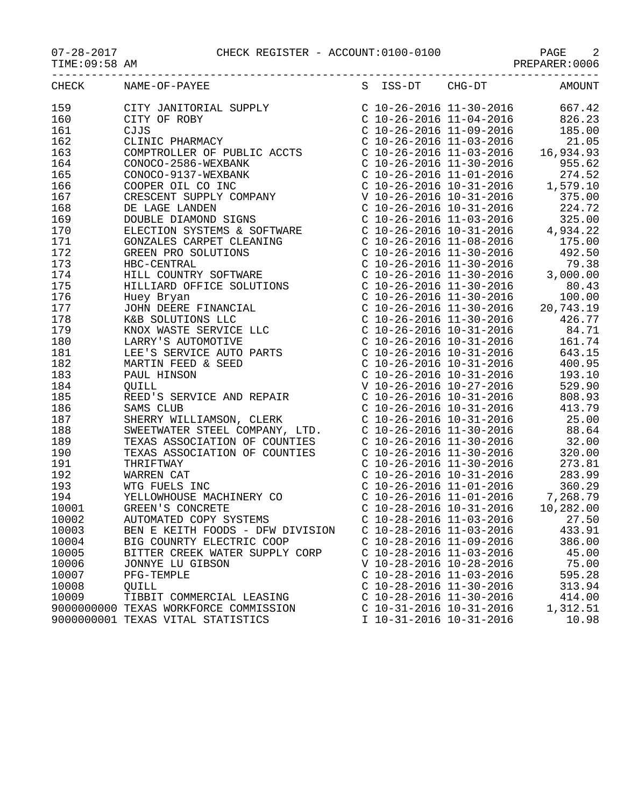|       | $07-28-2017 \quad \mbox{CHECK REGISTER - ACCOUNT:0100-0100 \quad \mbox{PAGE} \quad 2 \\ \mbox{TIME:09:58 AM \quad \mbox{NCE:0006} \quad \mbox{REPARENT:0006} \quad \mbox{REPARENT:0006} \quad \mbox{REPARENT:0006} \quad \mbox{REPARENT:0006} \quad \mbox{REPARENT:0006} \quad \mbox{REPARENT:0006} \quad \mbox{REPARENT:0006} \quad \mbox{REPARENT:0006} \quad \mbox{REPARENT:0006} \quad \mbox{REPARENT:$ |                                                        | . _ _ _ _ _ _ _ _ _ _ _ _ _ |
|-------|-------------------------------------------------------------------------------------------------------------------------------------------------------------------------------------------------------------------------------------------------------------------------------------------------------------------------------------------------------------------------------------------------------------|--------------------------------------------------------|-----------------------------|
|       | CHECK NAME-OF-PAYEE                                                                                                                                                                                                                                                                                                                                                                                         | S ISS-DT CHG-DT                                        | AMOUNT                      |
|       |                                                                                                                                                                                                                                                                                                                                                                                                             |                                                        |                             |
|       |                                                                                                                                                                                                                                                                                                                                                                                                             |                                                        |                             |
|       |                                                                                                                                                                                                                                                                                                                                                                                                             |                                                        |                             |
|       |                                                                                                                                                                                                                                                                                                                                                                                                             |                                                        |                             |
|       |                                                                                                                                                                                                                                                                                                                                                                                                             |                                                        |                             |
|       |                                                                                                                                                                                                                                                                                                                                                                                                             |                                                        |                             |
|       |                                                                                                                                                                                                                                                                                                                                                                                                             |                                                        |                             |
|       |                                                                                                                                                                                                                                                                                                                                                                                                             |                                                        |                             |
|       |                                                                                                                                                                                                                                                                                                                                                                                                             |                                                        |                             |
|       |                                                                                                                                                                                                                                                                                                                                                                                                             |                                                        |                             |
|       |                                                                                                                                                                                                                                                                                                                                                                                                             |                                                        |                             |
|       |                                                                                                                                                                                                                                                                                                                                                                                                             |                                                        |                             |
|       |                                                                                                                                                                                                                                                                                                                                                                                                             |                                                        |                             |
|       |                                                                                                                                                                                                                                                                                                                                                                                                             |                                                        |                             |
|       |                                                                                                                                                                                                                                                                                                                                                                                                             |                                                        |                             |
|       |                                                                                                                                                                                                                                                                                                                                                                                                             |                                                        |                             |
|       |                                                                                                                                                                                                                                                                                                                                                                                                             |                                                        |                             |
|       |                                                                                                                                                                                                                                                                                                                                                                                                             |                                                        |                             |
|       |                                                                                                                                                                                                                                                                                                                                                                                                             |                                                        |                             |
|       |                                                                                                                                                                                                                                                                                                                                                                                                             |                                                        |                             |
|       |                                                                                                                                                                                                                                                                                                                                                                                                             |                                                        |                             |
|       |                                                                                                                                                                                                                                                                                                                                                                                                             |                                                        |                             |
|       |                                                                                                                                                                                                                                                                                                                                                                                                             |                                                        |                             |
|       |                                                                                                                                                                                                                                                                                                                                                                                                             |                                                        |                             |
|       |                                                                                                                                                                                                                                                                                                                                                                                                             |                                                        |                             |
|       |                                                                                                                                                                                                                                                                                                                                                                                                             |                                                        |                             |
|       |                                                                                                                                                                                                                                                                                                                                                                                                             |                                                        |                             |
|       |                                                                                                                                                                                                                                                                                                                                                                                                             |                                                        |                             |
|       |                                                                                                                                                                                                                                                                                                                                                                                                             |                                                        |                             |
|       |                                                                                                                                                                                                                                                                                                                                                                                                             |                                                        |                             |
|       |                                                                                                                                                                                                                                                                                                                                                                                                             |                                                        |                             |
|       |                                                                                                                                                                                                                                                                                                                                                                                                             |                                                        |                             |
|       |                                                                                                                                                                                                                                                                                                                                                                                                             |                                                        |                             |
|       |                                                                                                                                                                                                                                                                                                                                                                                                             |                                                        |                             |
|       |                                                                                                                                                                                                                                                                                                                                                                                                             |                                                        |                             |
|       |                                                                                                                                                                                                                                                                                                                                                                                                             |                                                        |                             |
| 10001 | GREEN'S CONCRETE                                                                                                                                                                                                                                                                                                                                                                                            | $C$ 10-28-2016 10-31-2016                              | 10,282.00                   |
| 10002 | AUTOMATED COPY SYSTEMS                                                                                                                                                                                                                                                                                                                                                                                      | C 10-28-2016 11-03-2016                                | 27.50                       |
| 10003 | BEN E KEITH FOODS - DFW DIVISION                                                                                                                                                                                                                                                                                                                                                                            | $C$ 10-28-2016 11-03-2016                              | 433.91                      |
| 10004 | BIG COUNRTY ELECTRIC COOP                                                                                                                                                                                                                                                                                                                                                                                   | $C$ 10-28-2016 11-09-2016                              | 386.00                      |
| 10005 | BITTER CREEK WATER SUPPLY CORP                                                                                                                                                                                                                                                                                                                                                                              | $C$ 10-28-2016 11-03-2016                              | 45.00                       |
| 10006 | JONNYE LU GIBSON                                                                                                                                                                                                                                                                                                                                                                                            | V 10-28-2016 10-28-2016                                | 75.00                       |
| 10007 | PFG-TEMPLE                                                                                                                                                                                                                                                                                                                                                                                                  | $C$ 10-28-2016 11-03-2016<br>$C$ 10-28-2016 11-30-2016 | 595.28                      |
| 10008 | QUILL                                                                                                                                                                                                                                                                                                                                                                                                       | $C$ 10-28-2016 11-30-2016                              | 313.94                      |
| 10009 | TIBBIT COMMERCIAL LEASING                                                                                                                                                                                                                                                                                                                                                                                   | $C$ 10-31-2016 10-31-2016                              | 414.00<br>1,312.51          |
|       | 9000000000 TEXAS WORKFORCE COMMISSION<br>9000000001 TEXAS VITAL STATISTICS                                                                                                                                                                                                                                                                                                                                  | I 10-31-2016 10-31-2016                                | 10.98                       |